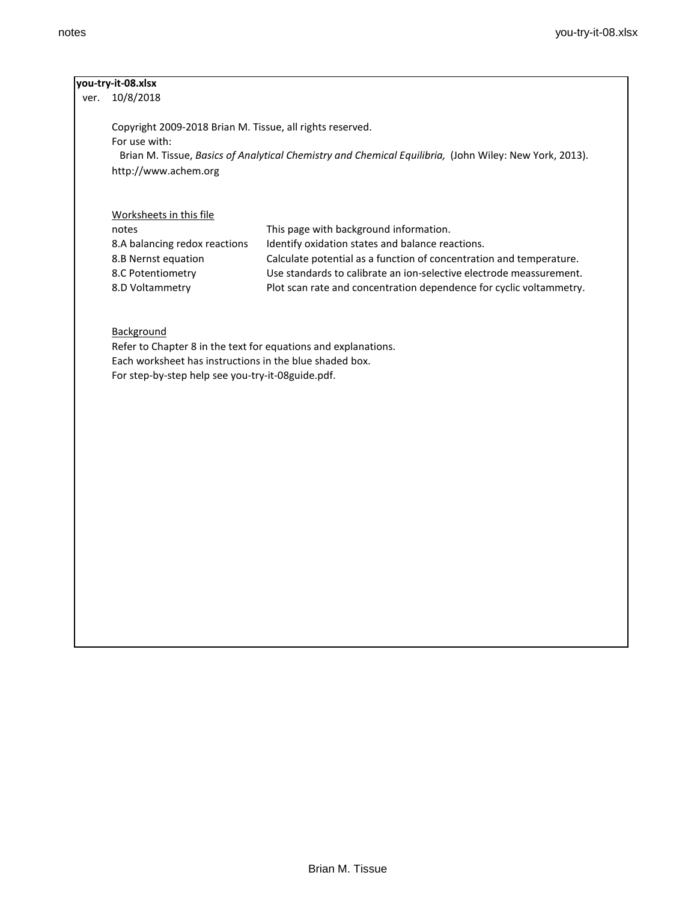| 10/8/2018<br>ver.                                              |                                                                                                        |
|----------------------------------------------------------------|--------------------------------------------------------------------------------------------------------|
| Copyright 2009-2018 Brian M. Tissue, all rights reserved.      |                                                                                                        |
| For use with:                                                  |                                                                                                        |
|                                                                | Brian M. Tissue, Basics of Analytical Chemistry and Chemical Equilibria, (John Wiley: New York, 2013). |
| http://www.achem.org                                           |                                                                                                        |
|                                                                |                                                                                                        |
| Worksheets in this file                                        |                                                                                                        |
| notes                                                          | This page with background information.                                                                 |
| 8.A balancing redox reactions                                  | Identify oxidation states and balance reactions.                                                       |
| 8.B Nernst equation                                            | Calculate potential as a function of concentration and temperature.                                    |
| 8.C Potentiometry                                              | Use standards to calibrate an ion-selective electrode meassurement.                                    |
| 8.D Voltammetry                                                | Plot scan rate and concentration dependence for cyclic voltammetry.                                    |
|                                                                |                                                                                                        |
|                                                                |                                                                                                        |
| Background                                                     |                                                                                                        |
| Refer to Chapter 8 in the text for equations and explanations. |                                                                                                        |
| Each worksheet has instructions in the blue shaded box.        |                                                                                                        |
| For step-by-step help see you-try-it-08guide.pdf.              |                                                                                                        |
|                                                                |                                                                                                        |
|                                                                |                                                                                                        |
|                                                                |                                                                                                        |
|                                                                |                                                                                                        |
|                                                                |                                                                                                        |
|                                                                |                                                                                                        |
|                                                                |                                                                                                        |
|                                                                |                                                                                                        |
|                                                                |                                                                                                        |
|                                                                |                                                                                                        |
|                                                                |                                                                                                        |
|                                                                |                                                                                                        |
|                                                                |                                                                                                        |
|                                                                |                                                                                                        |
|                                                                |                                                                                                        |
|                                                                |                                                                                                        |
|                                                                |                                                                                                        |
|                                                                |                                                                                                        |
|                                                                |                                                                                                        |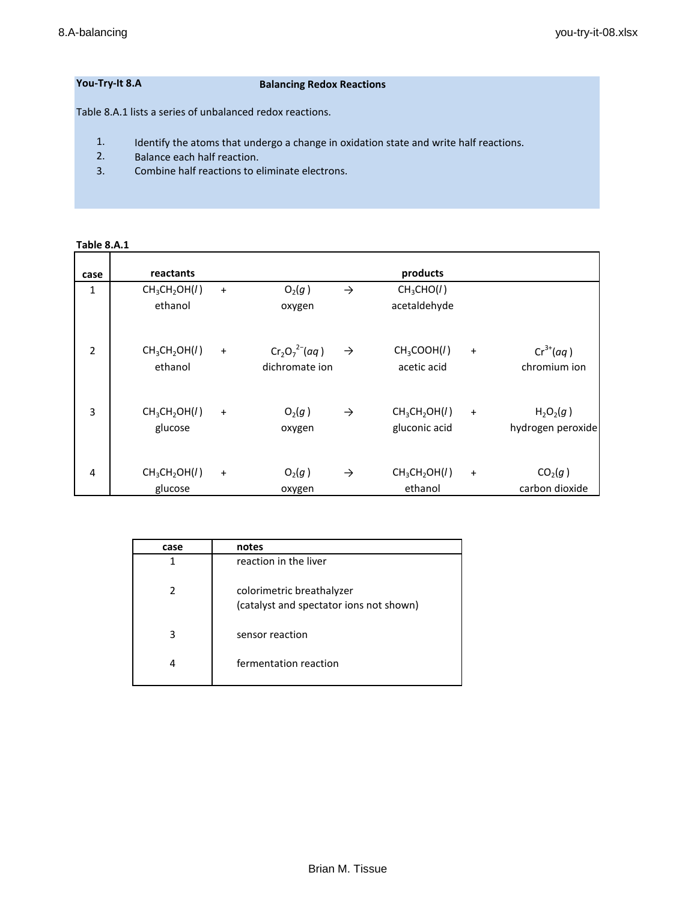# **You-Try-It 8.A Balancing Redox Reactions**

Table 8.A.1 lists a series of unbalanced redox reactions.

- 1. Identify the atoms that undergo a change in oxidation state and write half reactions.
- 2. Balance each half reaction.
- 3. Combine half reactions to eliminate electrons.

## **Table 8.A.1**

| case           | reactants                                        |           |                                      |               | products                                               |           |                                       |
|----------------|--------------------------------------------------|-----------|--------------------------------------|---------------|--------------------------------------------------------|-----------|---------------------------------------|
| 1              | CH <sub>3</sub> CH <sub>2</sub> OH(1)<br>ethanol | $\ddot{}$ | O <sub>2</sub> (g)<br>oxygen         | $\rightarrow$ | CH <sub>3</sub> CHO(1)<br>acetaldehyde                 |           |                                       |
| $\overline{2}$ | CH <sub>3</sub> CH <sub>2</sub> OH(1)<br>ethanol | $\ddot{}$ | $Cr_2O_7^{2-}(aq)$<br>dichromate ion | $\rightarrow$ | CH <sub>3</sub> COOH(I)<br>acetic acid                 | $\ddot{}$ | $Cr^{3+}(aq)$<br>chromium ion         |
| 3              | CH <sub>3</sub> CH <sub>2</sub> OH(1)<br>glucose | $\ddot{}$ | $O_2(g)$<br>oxygen                   | $\rightarrow$ | CH <sub>3</sub> CH <sub>2</sub> OH(1)<br>gluconic acid | $\ddot{}$ | $H_2O_2(g)$<br>hydrogen peroxide      |
| 4              | CH <sub>3</sub> CH <sub>2</sub> OH(1)<br>glucose | $\ddot{}$ | $O_2(g)$<br>oxygen                   | $\rightarrow$ | CH <sub>3</sub> CH <sub>2</sub> OH(1)<br>ethanol       | $\ddot{}$ | CO <sub>2</sub> (g)<br>carbon dioxide |

| case | notes                                                                |
|------|----------------------------------------------------------------------|
| 1    | reaction in the liver                                                |
| 2    | colorimetric breathalyzer<br>(catalyst and spectator ions not shown) |
| 3    | sensor reaction                                                      |
| 4    | fermentation reaction                                                |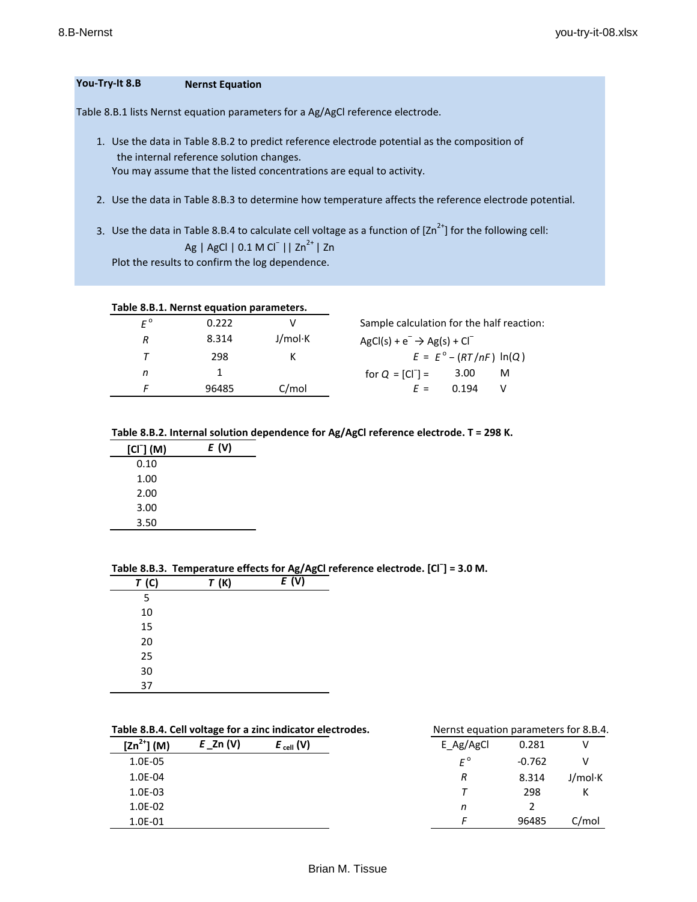#### **You-Try-It 8.B Nernst Equation**

Table 8.B.1 lists Nernst equation parameters for a Ag/AgCl reference electrode.

- 1. Use the data in Table 8.B.2 to predict reference electrode potential as the composition of the internal reference solution changes. You may assume that the listed concentrations are equal to activity.
- 2. Use the data in Table 8.B.3 to determine how temperature affects the reference electrode potential.
- 3. Use the data in Table 8.B.4 to calculate cell voltage as a function of  $[2n^{2+}]$  for the following cell: Ag | AgCl | 0.1 M Cl<sup>−</sup> || Zn<sup>2+</sup> | Zn Plot the results to confirm the log dependence.

**Table 8.B.1. Nernst equation parameters.**

| $F^{\circ}$ | 0.222 |         | Sample calculation for the half reaction: |                                  |   |
|-------------|-------|---------|-------------------------------------------|----------------------------------|---|
| R           | 8.314 | J/mol·K | $AgCl(s) + e^- \rightarrow Ag(s) + Cl^-$  |                                  |   |
| Τ           | 298   |         |                                           | $E = E^{\circ} - (RT/nF) \ln(Q)$ |   |
| n           |       |         | for $Q = [CI^{-}] =$                      | 3.00                             | м |
|             | 96485 | C/mol   | $F =$                                     | በ 194                            |   |
|             |       |         |                                           |                                  |   |

### **Table 8.B.2. Internal solution dependence for Ag/AgCl reference electrode. T = 298 K.**

| $[CI-] (M)$ | E (V) |
|-------------|-------|
| 0.10        |       |
| 1.00        |       |
| 2.00        |       |
| 3.00        |       |
| 3.50        |       |

 $\overline{\phantom{0}}$ 

|      | Table 8.B.3. Temperature effects for Ag/AgCI reference e |       |  |
|------|----------------------------------------------------------|-------|--|
| T(G) | T(K)                                                     | E (V) |  |
| 5    |                                                          |       |  |
| 10   |                                                          |       |  |
| 15   |                                                          |       |  |
| 20   |                                                          |       |  |
| 25   |                                                          |       |  |
| 30   |                                                          |       |  |
| 37   |                                                          |       |  |

# **Table 8.B.3. Temperature effects for Ag/AgCl reference electrode. [Cl<sup>−</sup> ] = 3.0 M.**

### Table 8.B.4. Cell voltage for a zinc indicator electrodes. Nernst equation parameters for 8.B.4.

|                 | $\sim$      |                |             |          | . .     |
|-----------------|-------------|----------------|-------------|----------|---------|
| $[2n^{2+}] (M)$ | $E_$ Zn (V) | $E_{cell} (V)$ | E_Ag/AgCl   | 0.281    |         |
| 1.0E-05         |             |                | $F^{\circ}$ | $-0.762$ | v       |
| 1.0E-04         |             |                | R           | 8.314    | J/mol·K |
| $1.0E-03$       |             |                |             | 298      | К       |
| 1.0E-02         |             |                | n           |          |         |
| 1.0E-01         |             |                |             | 96485    | C/mol   |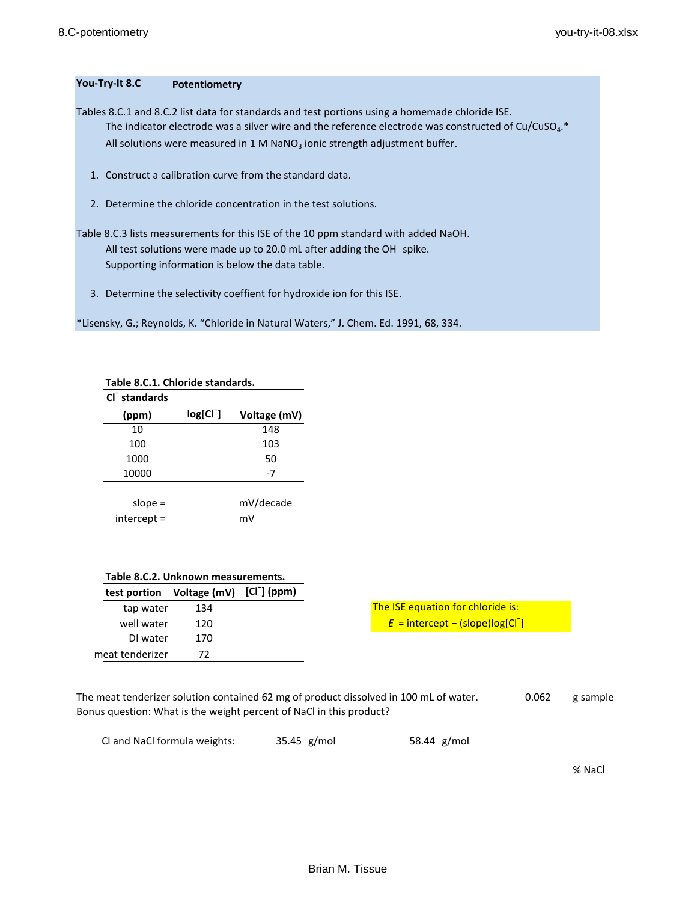# **You-Try-It 8.C Potentiometry**

Tables 8.C.1 and 8.C.2 list data for standards and test portions using a homemade chloride ISE. The indicator electrode was a silver wire and the reference electrode was constructed of Cu/CuSO<sub>4</sub>.\* All solutions were measured in 1 M NaNO<sub>3</sub> ionic strength adjustment buffer.

- 1. Construct a calibration curve from the standard data.
- 2. Determine the chloride concentration in the test solutions.

Table 8.C.3 lists measurements for this ISE of the 10 ppm standard with added NaOH. All test solutions were made up to 20.0 mL after adding the OH<sup>-</sup> spike. Supporting information is below the data table.

3. Determine the selectivity coeffient for hydroxide ion for this ISE.

\*Lisensky, G.; Reynolds, K. "Chloride in Natural Waters," J. Chem. Ed. 1991, 68, 334.

| Table 8.C.1. Chloride standards. |               |              |  |  |
|----------------------------------|---------------|--------------|--|--|
| $Cl-$ standards                  |               |              |  |  |
| (ppm)                            | $log[Cl^{-}]$ | Voltage (mV) |  |  |
| 10                               |               | 148          |  |  |
| 100                              |               | 103          |  |  |
| 1000                             |               | 50           |  |  |
| 10000                            |               | $-7$         |  |  |
|                                  |               |              |  |  |
| slope $=$                        |               | mV/decade    |  |  |
| intercept =                      |               | mV           |  |  |

|  |  | Table 8.C.2. Unknown measurements. |
|--|--|------------------------------------|
|--|--|------------------------------------|

|                 | test portion Voltage (mV) [CI <sup>-</sup> ] (ppm) |  |
|-----------------|----------------------------------------------------|--|
| tap water       | 134                                                |  |
| well water      | 120                                                |  |
| DI water        | 170                                                |  |
| meat tenderizer | 72                                                 |  |

The meat tenderizer solution contained 62 mg of product dissolved in 100 mL of water. 0.062 g sample Bonus question: What is the weight percent of NaCl in this product?

Cl and NaCl formula weights: 35.45 g/mol 58.44 g/mol

% NaCl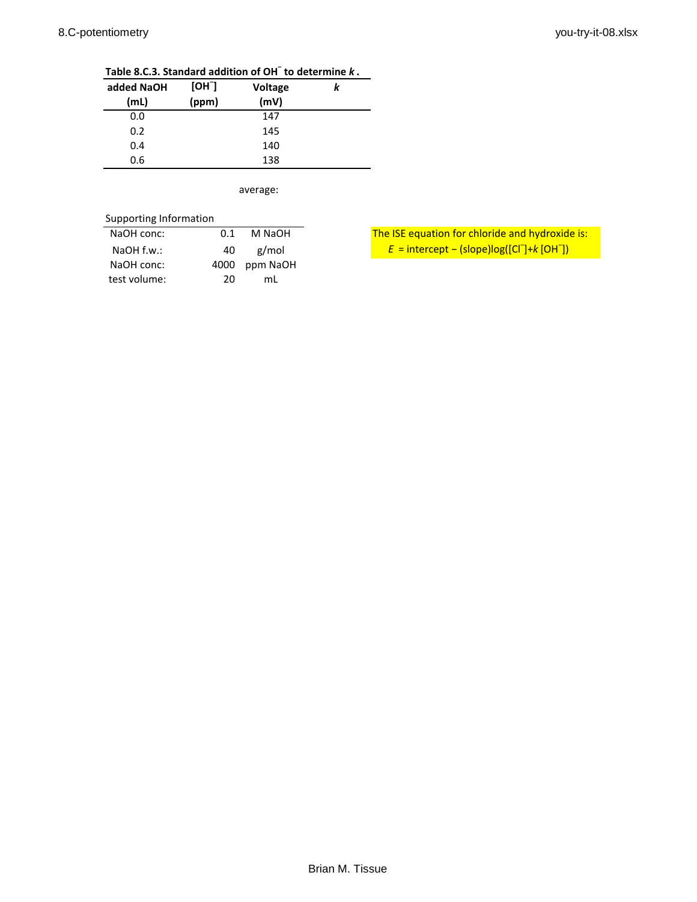| added NaOH | [OH]  | Voltage | k |
|------------|-------|---------|---|
| (mL)       | (ppm) | (mV)    |   |
| 0.0        |       | 147     |   |
| 0.2        |       | 145     |   |
| 0.4        |       | 140     |   |
| 0.6        |       | 138     |   |

**Table 8.C.3. Standard addition of OH<sup>−</sup> to determine** *k* **.**

average:

| Supporting Information |      |          |                                                                       |
|------------------------|------|----------|-----------------------------------------------------------------------|
| NaOH conc:             | 0.1  | M NaOH   | The ISE equation for chloride and hydroxid                            |
| $NaOH$ f.w.:           | 40   | g/mol    | $E =$ intercept – (slope)log([Cl <sup>-</sup> ]+k [OH <sup>-</sup> ]) |
| NaOH conc:             | 4000 | ppm NaOH |                                                                       |
| test volume:           | 20   | mL       |                                                                       |

The ISE equation for chloride and hydroxide is: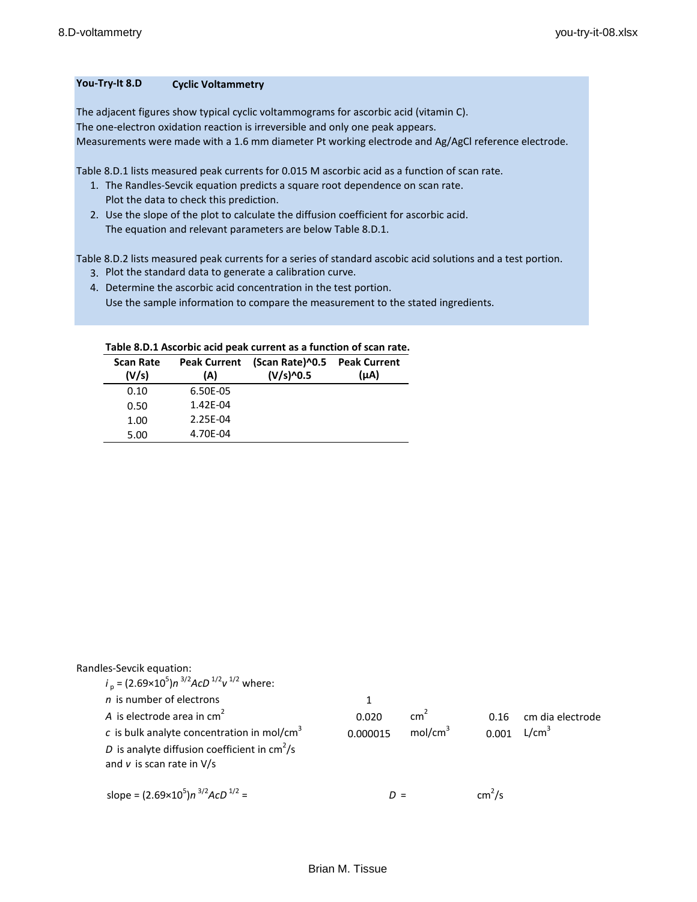# **You-Try-It 8.D Cyclic Voltammetry**

The adjacent figures show typical cyclic voltammograms for ascorbic acid (vitamin C). The one-electron oxidation reaction is irreversible and only one peak appears. Measurements were made with a 1.6 mm diameter Pt working electrode and Ag/AgCl reference electrode.

Table 8.D.1 lists measured peak currents for 0.015 M ascorbic acid as a function of scan rate.

- 1. The Randles-Sevcik equation predicts a square root dependence on scan rate. Plot the data to check this prediction.
- 2. Use the slope of the plot to calculate the diffusion coefficient for ascorbic acid. The equation and relevant parameters are below Table 8.D.1.

Table 8.D.2 lists measured peak currents for a series of standard ascobic acid solutions and a test portion.

- 3. Plot the standard data to generate a calibration curve.
- 4. Determine the ascorbic acid concentration in the test portion. Use the sample information to compare the measurement to the stated ingredients.

### **Table 8.D.1 Ascorbic acid peak current as a function of scan rate.**

| <b>Scan Rate</b><br>(V/s) | <b>Peak Current</b><br>(A) | (Scan Rate)^0.5<br>$(V/s)$ <sup>-0.5</sup> | <b>Peak Current</b><br>(μA) |
|---------------------------|----------------------------|--------------------------------------------|-----------------------------|
| 0.10                      | 6.50E-05                   |                                            |                             |
| 0.50                      | 1.42E-04                   |                                            |                             |
| 1.00                      | 2.25E-04                   |                                            |                             |
| 5.00                      | 4.70E-04                   |                                            |                             |

Randles-Sevcik equation:

| $i_p = (2.69 \times 10^5)n^{3/2}$ AcD <sup>1/2</sup> v <sup>1/2</sup> where: |          |                     |                    |                   |
|------------------------------------------------------------------------------|----------|---------------------|--------------------|-------------------|
| $n$ is number of electrons                                                   | 1        |                     |                    |                   |
| A is electrode area in $cm2$                                                 | 0.020    | $\text{cm}^2$       | 0.16               | cm dia electrode  |
| c is bulk analyte concentration in mol/cm <sup>3</sup>                       | 0.000015 | mol/cm <sup>3</sup> | 0.001              | L/cm <sup>3</sup> |
| D is analyte diffusion coefficient in $\text{cm}^2/\text{s}$                 |          |                     |                    |                   |
| and $v$ is scan rate in $V/s$                                                |          |                     |                    |                   |
|                                                                              |          |                     |                    |                   |
| slope = $(2.69\times10^5)n^{3/2}$ AcD <sup>1/2</sup> =                       |          |                     | cm <sup>2</sup> /s |                   |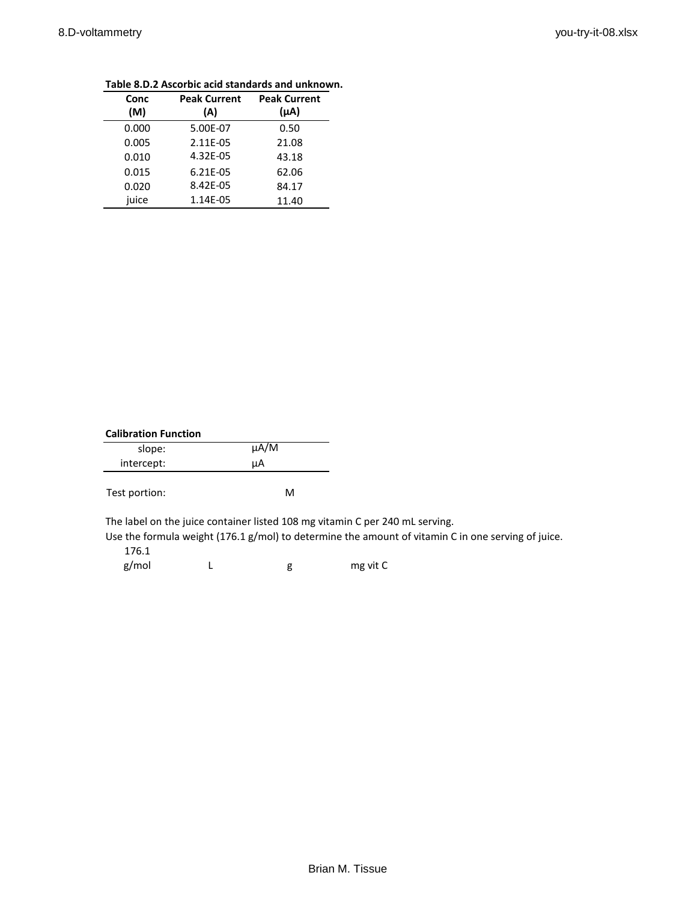| Conc<br>(M) | <b>Peak Current</b><br>(A) | <b>Peak Current</b><br>$(\mu A)$ |
|-------------|----------------------------|----------------------------------|
|             |                            |                                  |
| 0.000       | 5.00E-07                   | 0.50                             |
| 0.005       | 2.11E-05                   | 21.08                            |
| 0.010       | 4.32E-05                   | 43.18                            |
| 0.015       | 6.21E-05                   | 62.06                            |
| 0.020       | 8.42E-05                   | 84.17                            |
| juice       | 1.14E-05                   | 11.40                            |

# **Table 8.D.2 Ascorbic acid standards and unknown.**

| <b>Calibration Function</b> |           |  |  |  |
|-----------------------------|-----------|--|--|--|
| slope:                      | $\mu$ A/M |  |  |  |
| intercept:                  | uA        |  |  |  |
| Test portion:               | м         |  |  |  |

The label on the juice container listed 108 mg vitamin C per 240 mL serving.

Use the formula weight (176.1 g/mol) to determine the amount of vitamin C in one serving of juice. 176.1

g/mol L g mg vit C